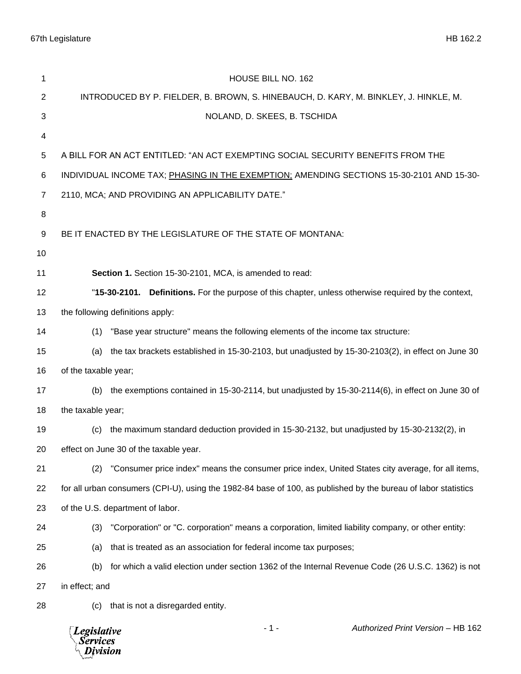| 1                                                                                        | HOUSE BILL NO. 162                                                                                             |  |  |
|------------------------------------------------------------------------------------------|----------------------------------------------------------------------------------------------------------------|--|--|
| $\boldsymbol{2}$                                                                         | INTRODUCED BY P. FIELDER, B. BROWN, S. HINEBAUCH, D. KARY, M. BINKLEY, J. HINKLE, M.                           |  |  |
| $\sqrt{3}$                                                                               | NOLAND, D. SKEES, B. TSCHIDA                                                                                   |  |  |
| 4                                                                                        |                                                                                                                |  |  |
| 5                                                                                        | A BILL FOR AN ACT ENTITLED: "AN ACT EXEMPTING SOCIAL SECURITY BENEFITS FROM THE                                |  |  |
| 6                                                                                        | INDIVIDUAL INCOME TAX; PHASING IN THE EXEMPTION; AMENDING SECTIONS 15-30-2101 AND 15-30-                       |  |  |
| $\overline{7}$                                                                           | 2110, MCA; AND PROVIDING AN APPLICABILITY DATE."                                                               |  |  |
| 8                                                                                        |                                                                                                                |  |  |
| $\boldsymbol{9}$                                                                         | BE IT ENACTED BY THE LEGISLATURE OF THE STATE OF MONTANA:                                                      |  |  |
| 10                                                                                       |                                                                                                                |  |  |
| 11                                                                                       | Section 1. Section 15-30-2101, MCA, is amended to read:                                                        |  |  |
| 12                                                                                       | "15-30-2101. Definitions. For the purpose of this chapter, unless otherwise required by the context,           |  |  |
| 13                                                                                       | the following definitions apply:                                                                               |  |  |
| 14                                                                                       | (1) "Base year structure" means the following elements of the income tax structure:                            |  |  |
| 15                                                                                       | (a) the tax brackets established in 15-30-2103, but unadjusted by 15-30-2103(2), in effect on June 30          |  |  |
| 16                                                                                       | of the taxable year;                                                                                           |  |  |
| 17                                                                                       | the exemptions contained in 15-30-2114, but unadjusted by 15-30-2114(6), in effect on June 30 of<br>(b)        |  |  |
| 18                                                                                       | the taxable year;                                                                                              |  |  |
| 19                                                                                       | the maximum standard deduction provided in 15-30-2132, but unadjusted by 15-30-2132(2), in<br>(c)              |  |  |
| 20                                                                                       | effect on June 30 of the taxable year.                                                                         |  |  |
| 21                                                                                       | "Consumer price index" means the consumer price index, United States city average, for all items,<br>(2)       |  |  |
| 22                                                                                       | for all urban consumers (CPI-U), using the 1982-84 base of 100, as published by the bureau of labor statistics |  |  |
| 23                                                                                       | of the U.S. department of labor.                                                                               |  |  |
| 24                                                                                       | "Corporation" or "C. corporation" means a corporation, limited liability company, or other entity:<br>(3)      |  |  |
| 25                                                                                       | that is treated as an association for federal income tax purposes;<br>(a)                                      |  |  |
| 26                                                                                       | for which a valid election under section 1362 of the Internal Revenue Code (26 U.S.C. 1362) is not<br>(b)      |  |  |
| 27                                                                                       | in effect; and                                                                                                 |  |  |
| 28                                                                                       | that is not a disregarded entity.<br>(C)                                                                       |  |  |
| $-1-$<br>Authorized Print Version - HB 162<br><b>Legislative</b><br>Services<br>Division |                                                                                                                |  |  |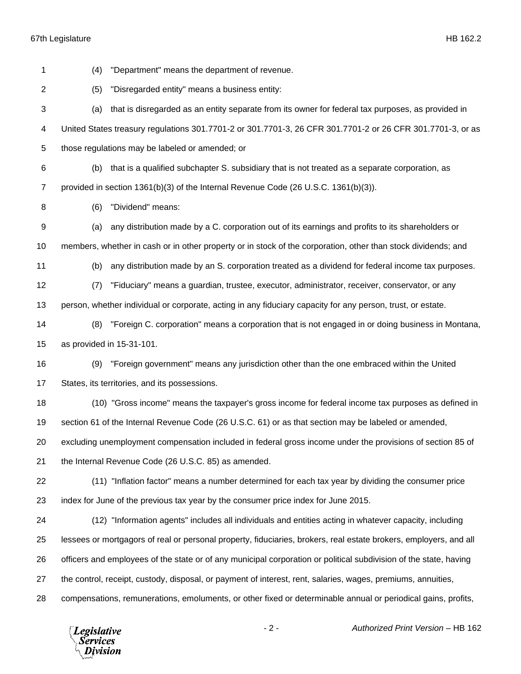| 1              | (4) | "Department" means the department of revenue.                                                                     |
|----------------|-----|-------------------------------------------------------------------------------------------------------------------|
| $\overline{2}$ | (5) | "Disregarded entity" means a business entity:                                                                     |
| 3              | (a) | that is disregarded as an entity separate from its owner for federal tax purposes, as provided in                 |
| 4              |     | United States treasury regulations 301.7701-2 or 301.7701-3, 26 CFR 301.7701-2 or 26 CFR 301.7701-3, or as        |
| 5              |     | those regulations may be labeled or amended; or                                                                   |
| 6              | (b) | that is a qualified subchapter S. subsidiary that is not treated as a separate corporation, as                    |
| 7              |     | provided in section 1361(b)(3) of the Internal Revenue Code (26 U.S.C. 1361(b)(3)).                               |
| 8              | (6) | "Dividend" means:                                                                                                 |
| 9              | (a) | any distribution made by a C. corporation out of its earnings and profits to its shareholders or                  |
| 10             |     | members, whether in cash or in other property or in stock of the corporation, other than stock dividends; and     |
| 11             | (b) | any distribution made by an S. corporation treated as a dividend for federal income tax purposes.                 |
| 12             | (7) | "Fiduciary" means a guardian, trustee, executor, administrator, receiver, conservator, or any                     |
| 13             |     | person, whether individual or corporate, acting in any fiduciary capacity for any person, trust, or estate.       |
| 14             | (8) | "Foreign C. corporation" means a corporation that is not engaged in or doing business in Montana,                 |
| 15             |     | as provided in 15-31-101.                                                                                         |
| 16             | (9) | "Foreign government" means any jurisdiction other than the one embraced within the United                         |
| 17             |     | States, its territories, and its possessions.                                                                     |
| 18             |     | (10) "Gross income" means the taxpayer's gross income for federal income tax purposes as defined in               |
| 19             |     | section 61 of the Internal Revenue Code (26 U.S.C. 61) or as that section may be labeled or amended,              |
| 20             |     | excluding unemployment compensation included in federal gross income under the provisions of section 85 of        |
| 21             |     | the Internal Revenue Code (26 U.S.C. 85) as amended.                                                              |
| 22             |     | (11) "Inflation factor" means a number determined for each tax year by dividing the consumer price                |
| 23             |     | index for June of the previous tax year by the consumer price index for June 2015.                                |
| 24             |     | (12) "Information agents" includes all individuals and entities acting in whatever capacity, including            |
| 25             |     | lessees or mortgagors of real or personal property, fiduciaries, brokers, real estate brokers, employers, and all |
| 26             |     | officers and employees of the state or of any municipal corporation or political subdivision of the state, having |
| 27             |     | the control, receipt, custody, disposal, or payment of interest, rent, salaries, wages, premiums, annuities,      |
| 28             |     | compensations, remunerations, emoluments, or other fixed or determinable annual or periodical gains, profits,     |
|                |     |                                                                                                                   |

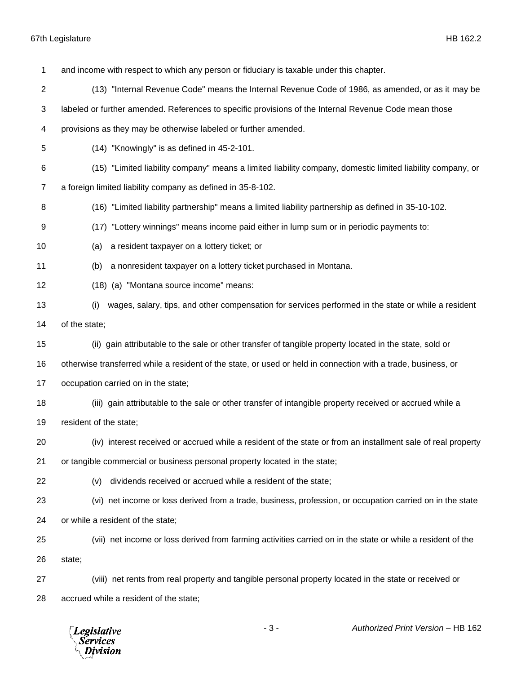| 1  | and income with respect to which any person or fiduciary is taxable under this chapter.                       |
|----|---------------------------------------------------------------------------------------------------------------|
| 2  | (13) "Internal Revenue Code" means the Internal Revenue Code of 1986, as amended, or as it may be             |
| 3  | labeled or further amended. References to specific provisions of the Internal Revenue Code mean those         |
| 4  | provisions as they may be otherwise labeled or further amended.                                               |
| 5  | (14) "Knowingly" is as defined in 45-2-101.                                                                   |
| 6  | (15) "Limited liability company" means a limited liability company, domestic limited liability company, or    |
| 7  | a foreign limited liability company as defined in 35-8-102.                                                   |
| 8  | (16) "Limited liability partnership" means a limited liability partnership as defined in 35-10-102.           |
| 9  | (17) "Lottery winnings" means income paid either in lump sum or in periodic payments to:                      |
| 10 | a resident taxpayer on a lottery ticket; or<br>(a)                                                            |
| 11 | a nonresident taxpayer on a lottery ticket purchased in Montana.<br>(b)                                       |
| 12 | (18) (a) "Montana source income" means:                                                                       |
| 13 | wages, salary, tips, and other compensation for services performed in the state or while a resident<br>(i)    |
| 14 | of the state;                                                                                                 |
| 15 | (ii) gain attributable to the sale or other transfer of tangible property located in the state, sold or       |
| 16 | otherwise transferred while a resident of the state, or used or held in connection with a trade, business, or |
| 17 | occupation carried on in the state;                                                                           |
| 18 | (iii) gain attributable to the sale or other transfer of intangible property received or accrued while a      |
| 19 | resident of the state;                                                                                        |
| 20 | (iv) interest received or accrued while a resident of the state or from an installment sale of real property  |
| 21 | or tangible commercial or business personal property located in the state;                                    |
| 22 | dividends received or accrued while a resident of the state;<br>(v)                                           |
| 23 | (vi) net income or loss derived from a trade, business, profession, or occupation carried on in the state     |
| 24 | or while a resident of the state;                                                                             |
| 25 | (vii) net income or loss derived from farming activities carried on in the state or while a resident of the   |
| 26 | state;                                                                                                        |
| 27 | (viii) net rents from real property and tangible personal property located in the state or received or        |
| 28 | accrued while a resident of the state;                                                                        |

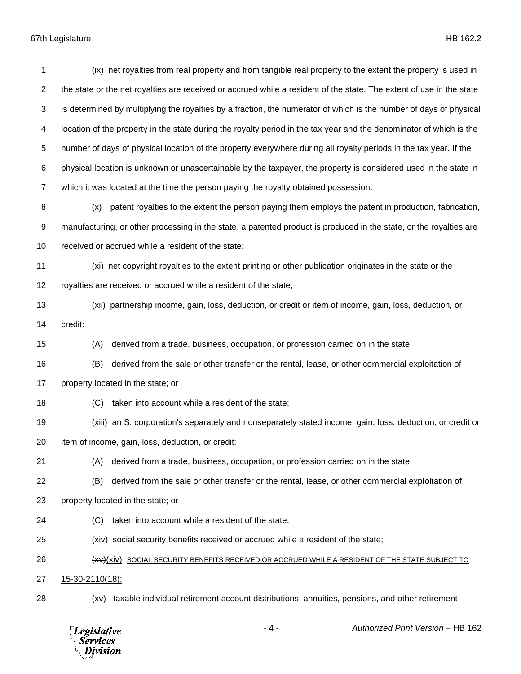(ix) net royalties from real property and from tangible real property to the extent the property is used in the state or the net royalties are received or accrued while a resident of the state. The extent of use in the state is determined by multiplying the royalties by a fraction, the numerator of which is the number of days of physical location of the property in the state during the royalty period in the tax year and the denominator of which is the number of days of physical location of the property everywhere during all royalty periods in the tax year. If the physical location is unknown or unascertainable by the taxpayer, the property is considered used in the state in which it was located at the time the person paying the royalty obtained possession. (x) patent royalties to the extent the person paying them employs the patent in production, fabrication,

 manufacturing, or other processing in the state, a patented product is produced in the state, or the royalties are received or accrued while a resident of the state;

 (xi) net copyright royalties to the extent printing or other publication originates in the state or the royalties are received or accrued while a resident of the state;

- (xii) partnership income, gain, loss, deduction, or credit or item of income, gain, loss, deduction, or
- credit:

(A) derived from a trade, business, occupation, or profession carried on in the state;

- (B) derived from the sale or other transfer or the rental, lease, or other commercial exploitation of
- property located in the state; or
- (C) taken into account while a resident of the state;
- (xiii) an S. corporation's separately and nonseparately stated income, gain, loss, deduction, or credit or
- item of income, gain, loss, deduction, or credit:
- (A) derived from a trade, business, occupation, or profession carried on in the state;
- (B) derived from the sale or other transfer or the rental, lease, or other commercial exploitation of
- property located in the state; or
- (C) taken into account while a resident of the state;
- (xiv) social security benefits received or accrued while a resident of the state;
- **(XV)**(XIV) SOCIAL SECURITY BENEFITS RECEIVED OR ACCRUED WHILE A RESIDENT OF THE STATE SUBJECT TO
- 15-30-2110(18);
- (xv) taxable individual retirement account distributions, annuities, pensions, and other retirement

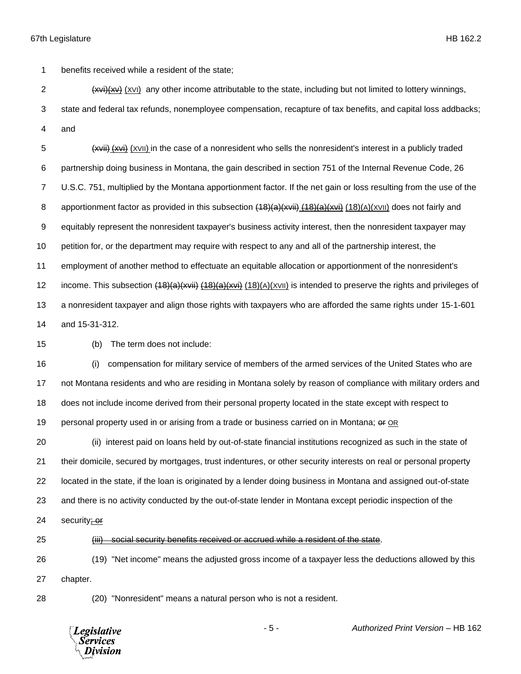benefits received while a resident of the state;

2 (xvi)(xvi) any other income attributable to the state, including but not limited to lottery winnings,

 state and federal tax refunds, nonemployee compensation, recapture of tax benefits, and capital loss addbacks; and

5 (xvii) (xvii) (XVII) in the case of a nonresident who sells the nonresident's interest in a publicly traded partnership doing business in Montana, the gain described in section 751 of the Internal Revenue Code, 26 U.S.C. 751, multiplied by the Montana apportionment factor. If the net gain or loss resulting from the use of the 8 apportionment factor as provided in this subsection  $(18)(a)(x\ddot{a})$ ;  $(18)(a)(x\ddot{a})$  (18)(A)(XVII) does not fairly and equitably represent the nonresident taxpayer's business activity interest, then the nonresident taxpayer may petition for, or the department may require with respect to any and all of the partnership interest, the employment of another method to effectuate an equitable allocation or apportionment of the nonresident's 12 income. This subsection  $(18)(a)(xvii)$   $(18)(a)(xvi)$  (18)(A)( $xvi)$  is intended to preserve the rights and privileges of a nonresident taxpayer and align those rights with taxpayers who are afforded the same rights under 15-1-601 and 15-31-312.

(b) The term does not include:

 (i) compensation for military service of members of the armed services of the United States who are not Montana residents and who are residing in Montana solely by reason of compliance with military orders and does not include income derived from their personal property located in the state except with respect to personal property used in or arising from a trade or business carried on in Montana; or OR

 (ii) interest paid on loans held by out-of-state financial institutions recognized as such in the state of their domicile, secured by mortgages, trust indentures, or other security interests on real or personal property located in the state, if the loan is originated by a lender doing business in Montana and assigned out-of-state and there is no activity conducted by the out-of-state lender in Montana except periodic inspection of the

24 security; or

(iii) social security benefits received or accrued while a resident of the state.

 (19) "Net income" means the adjusted gross income of a taxpayer less the deductions allowed by this chapter.

(20) "Nonresident" means a natural person who is not a resident.

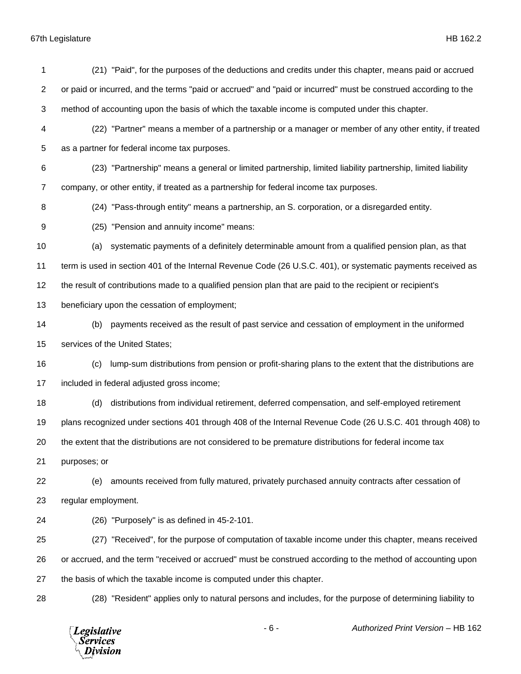| 1              | (21) "Paid", for the purposes of the deductions and credits under this chapter, means paid or accrued          |
|----------------|----------------------------------------------------------------------------------------------------------------|
| 2              | or paid or incurred, and the terms "paid or accrued" and "paid or incurred" must be construed according to the |
| 3              | method of accounting upon the basis of which the taxable income is computed under this chapter.                |
| 4              | (22) "Partner" means a member of a partnership or a manager or member of any other entity, if treated          |
| 5              | as a partner for federal income tax purposes.                                                                  |
| 6              | (23) "Partnership" means a general or limited partnership, limited liability partnership, limited liability    |
| $\overline{7}$ | company, or other entity, if treated as a partnership for federal income tax purposes.                         |
| 8              | (24) "Pass-through entity" means a partnership, an S. corporation, or a disregarded entity.                    |
| 9              | (25) "Pension and annuity income" means:                                                                       |
| 10             | systematic payments of a definitely determinable amount from a qualified pension plan, as that<br>(a)          |
| 11             | term is used in section 401 of the Internal Revenue Code (26 U.S.C. 401), or systematic payments received as   |
| 12             | the result of contributions made to a qualified pension plan that are paid to the recipient or recipient's     |
| 13             | beneficiary upon the cessation of employment;                                                                  |
| 14             | payments received as the result of past service and cessation of employment in the uniformed<br>(b)            |
| 15             | services of the United States;                                                                                 |
| 16             | lump-sum distributions from pension or profit-sharing plans to the extent that the distributions are<br>(c)    |
| 17             | included in federal adjusted gross income;                                                                     |
| 18             | distributions from individual retirement, deferred compensation, and self-employed retirement<br>(d)           |
| 19             | plans recognized under sections 401 through 408 of the Internal Revenue Code (26 U.S.C. 401 through 408) to    |
| 20             | the extent that the distributions are not considered to be premature distributions for federal income tax      |
| 21             | purposes; or                                                                                                   |
| 22             | amounts received from fully matured, privately purchased annuity contracts after cessation of<br>(e)           |
| 23             | regular employment.                                                                                            |
| 24             | (26) "Purposely" is as defined in 45-2-101.                                                                    |
| 25             | (27) "Received", for the purpose of computation of taxable income under this chapter, means received           |
| 26             | or accrued, and the term "received or accrued" must be construed according to the method of accounting upon    |
| 27             | the basis of which the taxable income is computed under this chapter.                                          |
| 28             | (28) "Resident" applies only to natural persons and includes, for the purpose of determining liability to      |
|                |                                                                                                                |

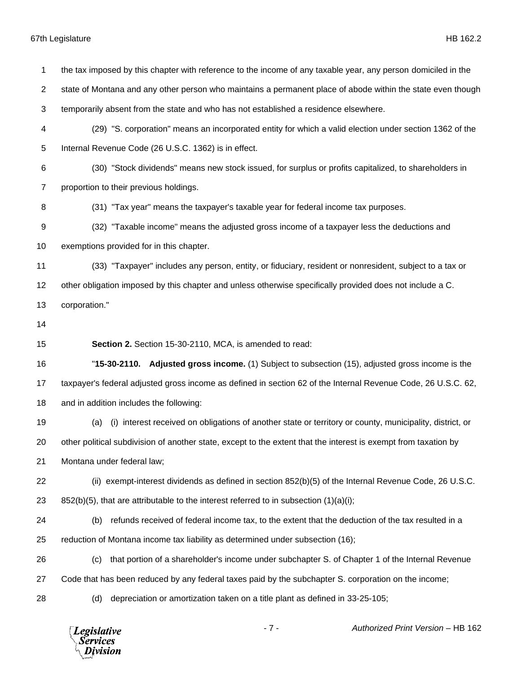state of Montana and any other person who maintains a permanent place of abode within the state even though temporarily absent from the state and who has not established a residence elsewhere. (29) "S. corporation" means an incorporated entity for which a valid election under section 1362 of the Internal Revenue Code (26 U.S.C. 1362) is in effect. (30) "Stock dividends" means new stock issued, for surplus or profits capitalized, to shareholders in proportion to their previous holdings. (31) "Tax year" means the taxpayer's taxable year for federal income tax purposes. (32) "Taxable income" means the adjusted gross income of a taxpayer less the deductions and exemptions provided for in this chapter. (33) "Taxpayer" includes any person, entity, or fiduciary, resident or nonresident, subject to a tax or other obligation imposed by this chapter and unless otherwise specifically provided does not include a C. corporation." **Section 2.** Section 15-30-2110, MCA, is amended to read: "**15-30-2110. Adjusted gross income.** (1) Subject to subsection (15), adjusted gross income is the taxpayer's federal adjusted gross income as defined in section 62 of the Internal Revenue Code, 26 U.S.C. 62, and in addition includes the following: (a) (i) interest received on obligations of another state or territory or county, municipality, district, or other political subdivision of another state, except to the extent that the interest is exempt from taxation by Montana under federal law; (ii) exempt-interest dividends as defined in section 852(b)(5) of the Internal Revenue Code, 26 U.S.C. 23 852(b)(5), that are attributable to the interest referred to in subsection  $(1)(a)(i)$ ; (b) refunds received of federal income tax, to the extent that the deduction of the tax resulted in a reduction of Montana income tax liability as determined under subsection (16); (c) that portion of a shareholder's income under subchapter S. of Chapter 1 of the Internal Revenue Code that has been reduced by any federal taxes paid by the subchapter S. corporation on the income; (d) depreciation or amortization taken on a title plant as defined in 33-25-105;- 7 - *Authorized Print Version* – HB 162 **Legislative** *Services* Division

the tax imposed by this chapter with reference to the income of any taxable year, any person domiciled in the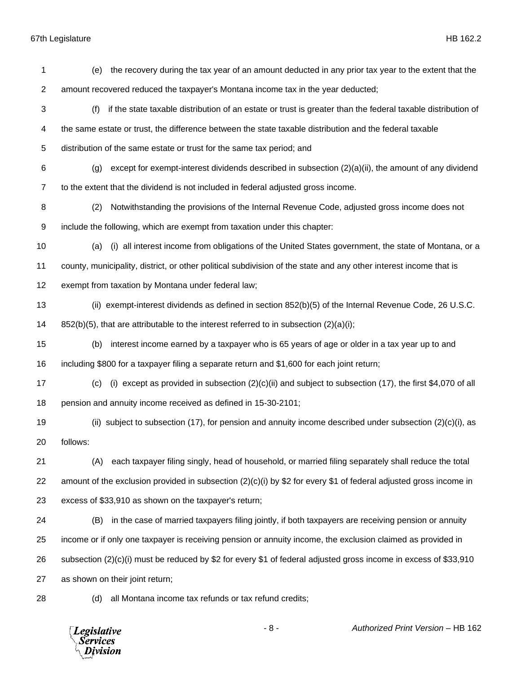| 1              | the recovery during the tax year of an amount deducted in any prior tax year to the extent that the<br>(e)          |
|----------------|---------------------------------------------------------------------------------------------------------------------|
| $\overline{c}$ | amount recovered reduced the taxpayer's Montana income tax in the year deducted;                                    |
| 3              | if the state taxable distribution of an estate or trust is greater than the federal taxable distribution of<br>(f)  |
| 4              | the same estate or trust, the difference between the state taxable distribution and the federal taxable             |
| 5              | distribution of the same estate or trust for the same tax period; and                                               |
| 6              | except for exempt-interest dividends described in subsection $(2)(a)(ii)$ , the amount of any dividend<br>(g)       |
| $\overline{7}$ | to the extent that the dividend is not included in federal adjusted gross income.                                   |
| 8              | (2)<br>Notwithstanding the provisions of the Internal Revenue Code, adjusted gross income does not                  |
| 9              | include the following, which are exempt from taxation under this chapter:                                           |
| 10             | (i) all interest income from obligations of the United States government, the state of Montana, or a<br>(a)         |
| 11             | county, municipality, district, or other political subdivision of the state and any other interest income that is   |
| 12             | exempt from taxation by Montana under federal law;                                                                  |
| 13             | (ii) exempt-interest dividends as defined in section 852(b)(5) of the Internal Revenue Code, 26 U.S.C.              |
| 14             | $852(b)(5)$ , that are attributable to the interest referred to in subsection $(2)(a)(i)$ ;                         |
| 15             | interest income earned by a taxpayer who is 65 years of age or older in a tax year up to and<br>(b)                 |
| 16             | including \$800 for a taxpayer filing a separate return and \$1,600 for each joint return;                          |
| 17             | (i) except as provided in subsection $(2)(c)(ii)$ and subject to subsection (17), the first \$4,070 of all<br>(c)   |
| 18             | pension and annuity income received as defined in 15-30-2101;                                                       |
| 19             | (ii) subject to subsection (17), for pension and annuity income described under subsection $(2)(c)(i)$ , as         |
| 20             | follows:                                                                                                            |
| 21             | each taxpayer filing singly, head of household, or married filing separately shall reduce the total<br>(A)          |
| 22             | amount of the exclusion provided in subsection $(2)(c)(i)$ by \$2 for every \$1 of federal adjusted gross income in |
| 23             | excess of \$33,910 as shown on the taxpayer's return;                                                               |
| 24             | in the case of married taxpayers filing jointly, if both taxpayers are receiving pension or annuity<br>(B)          |
| 25             | income or if only one taxpayer is receiving pension or annuity income, the exclusion claimed as provided in         |
| 26             | subsection (2)(c)(i) must be reduced by \$2 for every \$1 of federal adjusted gross income in excess of \$33,910    |
| 27             | as shown on their joint return;                                                                                     |

28 (d) all Montana income tax refunds or tax refund credits;

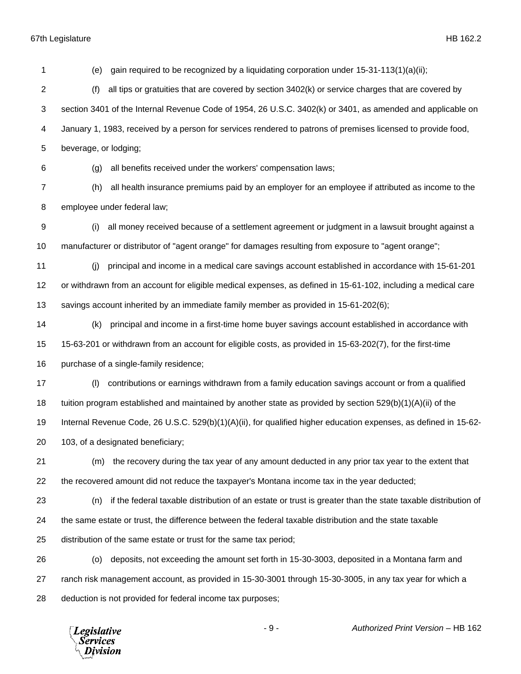(e) gain required to be recognized by a liquidating corporation under 15-31-113(1)(a)(ii); (f) all tips or gratuities that are covered by section 3402(k) or service charges that are covered by section 3401 of the Internal Revenue Code of 1954, 26 U.S.C. 3402(k) or 3401, as amended and applicable on January 1, 1983, received by a person for services rendered to patrons of premises licensed to provide food, beverage, or lodging; (g) all benefits received under the workers' compensation laws; (h) all health insurance premiums paid by an employer for an employee if attributed as income to the employee under federal law; (i) all money received because of a settlement agreement or judgment in a lawsuit brought against a manufacturer or distributor of "agent orange" for damages resulting from exposure to "agent orange"; (j) principal and income in a medical care savings account established in accordance with 15-61-201 or withdrawn from an account for eligible medical expenses, as defined in 15-61-102, including a medical care savings account inherited by an immediate family member as provided in 15-61-202(6); (k) principal and income in a first-time home buyer savings account established in accordance with 15-63-201 or withdrawn from an account for eligible costs, as provided in 15-63-202(7), for the first-time purchase of a single-family residence; (l) contributions or earnings withdrawn from a family education savings account or from a qualified tuition program established and maintained by another state as provided by section 529(b)(1)(A)(ii) of the Internal Revenue Code, 26 U.S.C. 529(b)(1)(A)(ii), for qualified higher education expenses, as defined in 15-62- 103, of a designated beneficiary; (m) the recovery during the tax year of any amount deducted in any prior tax year to the extent that the recovered amount did not reduce the taxpayer's Montana income tax in the year deducted; (n) if the federal taxable distribution of an estate or trust is greater than the state taxable distribution of the same estate or trust, the difference between the federal taxable distribution and the state taxable distribution of the same estate or trust for the same tax period; (o) deposits, not exceeding the amount set forth in 15-30-3003, deposited in a Montana farm and ranch risk management account, as provided in 15-30-3001 through 15-30-3005, in any tax year for which a deduction is not provided for federal income tax purposes;

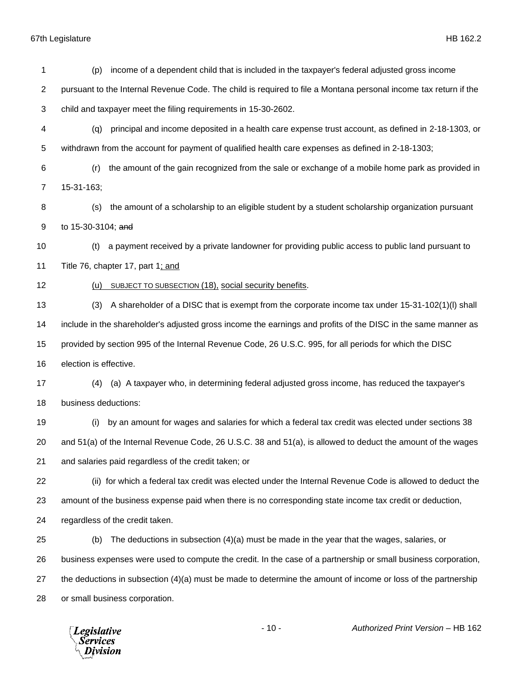(p) income of a dependent child that is included in the taxpayer's federal adjusted gross income pursuant to the Internal Revenue Code. The child is required to file a Montana personal income tax return if the child and taxpayer meet the filing requirements in 15-30-2602. (q) principal and income deposited in a health care expense trust account, as defined in 2-18-1303, or withdrawn from the account for payment of qualified health care expenses as defined in 2-18-1303; (r) the amount of the gain recognized from the sale or exchange of a mobile home park as provided in 15-31-163; (s) the amount of a scholarship to an eligible student by a student scholarship organization pursuant to 15-30-3104; and (t) a payment received by a private landowner for providing public access to public land pursuant to 11 Title 76, chapter 17, part 1; and (u) SUBJECT TO SUBSECTION (18), social security benefits. (3) A shareholder of a DISC that is exempt from the corporate income tax under 15-31-102(1)(l) shall include in the shareholder's adjusted gross income the earnings and profits of the DISC in the same manner as provided by section 995 of the Internal Revenue Code, 26 U.S.C. 995, for all periods for which the DISC election is effective. (4) (a) A taxpayer who, in determining federal adjusted gross income, has reduced the taxpayer's business deductions: (i) by an amount for wages and salaries for which a federal tax credit was elected under sections 38 and 51(a) of the Internal Revenue Code, 26 U.S.C. 38 and 51(a), is allowed to deduct the amount of the wages and salaries paid regardless of the credit taken; or (ii) for which a federal tax credit was elected under the Internal Revenue Code is allowed to deduct the amount of the business expense paid when there is no corresponding state income tax credit or deduction, regardless of the credit taken. (b) The deductions in subsection (4)(a) must be made in the year that the wages, salaries, or business expenses were used to compute the credit. In the case of a partnership or small business corporation, the deductions in subsection (4)(a) must be made to determine the amount of income or loss of the partnership or small business corporation.

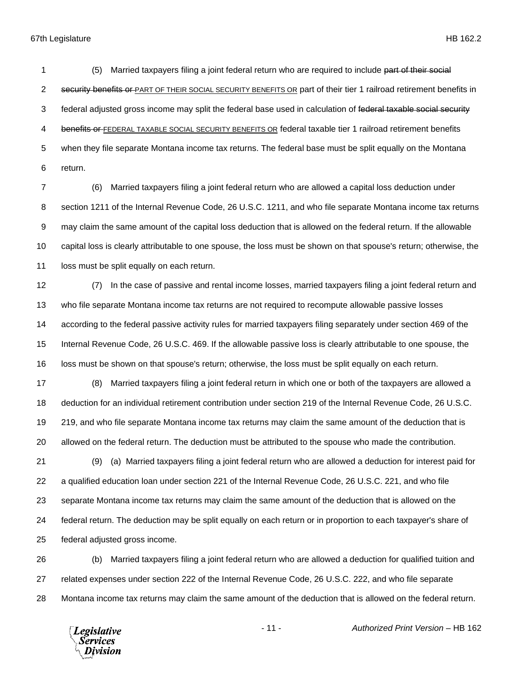1 (5) Married taxpayers filing a joint federal return who are required to include part of their social 2 security benefits or PART OF THEIR SOCIAL SECURITY BENEFITS OR part of their tier 1 railroad retirement benefits in 3 federal adjusted gross income may split the federal base used in calculation of federal taxable social security 4 benefits or FEDERAL TAXABLE SOCIAL SECURITY BENEFITS OR federal taxable tier 1 railroad retirement benefits when they file separate Montana income tax returns. The federal base must be split equally on the Montana return.

 (6) Married taxpayers filing a joint federal return who are allowed a capital loss deduction under section 1211 of the Internal Revenue Code, 26 U.S.C. 1211, and who file separate Montana income tax returns may claim the same amount of the capital loss deduction that is allowed on the federal return. If the allowable capital loss is clearly attributable to one spouse, the loss must be shown on that spouse's return; otherwise, the 11 loss must be split equally on each return.

 (7) In the case of passive and rental income losses, married taxpayers filing a joint federal return and who file separate Montana income tax returns are not required to recompute allowable passive losses according to the federal passive activity rules for married taxpayers filing separately under section 469 of the Internal Revenue Code, 26 U.S.C. 469. If the allowable passive loss is clearly attributable to one spouse, the loss must be shown on that spouse's return; otherwise, the loss must be split equally on each return.

 (8) Married taxpayers filing a joint federal return in which one or both of the taxpayers are allowed a deduction for an individual retirement contribution under section 219 of the Internal Revenue Code, 26 U.S.C. 219, and who file separate Montana income tax returns may claim the same amount of the deduction that is allowed on the federal return. The deduction must be attributed to the spouse who made the contribution.

 (9) (a) Married taxpayers filing a joint federal return who are allowed a deduction for interest paid for a qualified education loan under section 221 of the Internal Revenue Code, 26 U.S.C. 221, and who file separate Montana income tax returns may claim the same amount of the deduction that is allowed on the federal return. The deduction may be split equally on each return or in proportion to each taxpayer's share of federal adjusted gross income.

 (b) Married taxpayers filing a joint federal return who are allowed a deduction for qualified tuition and related expenses under section 222 of the Internal Revenue Code, 26 U.S.C. 222, and who file separate Montana income tax returns may claim the same amount of the deduction that is allowed on the federal return.



- 11 - *Authorized Print Version* – HB 162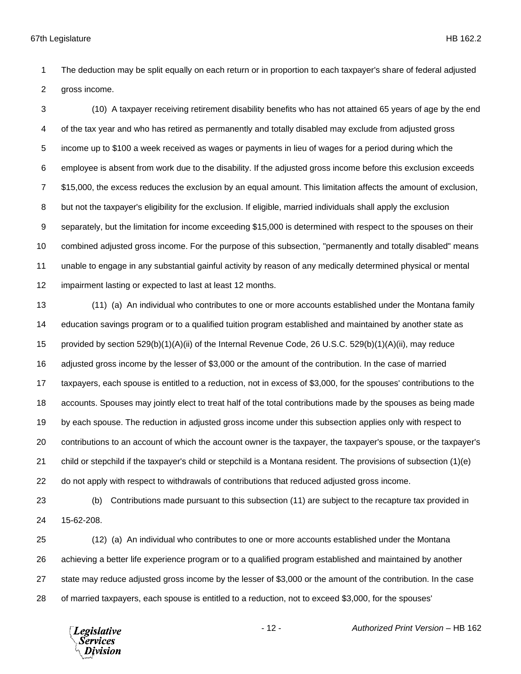The deduction may be split equally on each return or in proportion to each taxpayer's share of federal adjusted gross income.

 (10) A taxpayer receiving retirement disability benefits who has not attained 65 years of age by the end of the tax year and who has retired as permanently and totally disabled may exclude from adjusted gross income up to \$100 a week received as wages or payments in lieu of wages for a period during which the employee is absent from work due to the disability. If the adjusted gross income before this exclusion exceeds \$15,000, the excess reduces the exclusion by an equal amount. This limitation affects the amount of exclusion, but not the taxpayer's eligibility for the exclusion. If eligible, married individuals shall apply the exclusion separately, but the limitation for income exceeding \$15,000 is determined with respect to the spouses on their combined adjusted gross income. For the purpose of this subsection, "permanently and totally disabled" means unable to engage in any substantial gainful activity by reason of any medically determined physical or mental impairment lasting or expected to last at least 12 months.

 (11) (a) An individual who contributes to one or more accounts established under the Montana family education savings program or to a qualified tuition program established and maintained by another state as provided by section 529(b)(1)(A)(ii) of the Internal Revenue Code, 26 U.S.C. 529(b)(1)(A)(ii), may reduce adjusted gross income by the lesser of \$3,000 or the amount of the contribution. In the case of married taxpayers, each spouse is entitled to a reduction, not in excess of \$3,000, for the spouses' contributions to the accounts. Spouses may jointly elect to treat half of the total contributions made by the spouses as being made by each spouse. The reduction in adjusted gross income under this subsection applies only with respect to contributions to an account of which the account owner is the taxpayer, the taxpayer's spouse, or the taxpayer's child or stepchild if the taxpayer's child or stepchild is a Montana resident. The provisions of subsection (1)(e) do not apply with respect to withdrawals of contributions that reduced adjusted gross income.

 (b) Contributions made pursuant to this subsection (11) are subject to the recapture tax provided in 15-62-208.

 (12) (a) An individual who contributes to one or more accounts established under the Montana achieving a better life experience program or to a qualified program established and maintained by another state may reduce adjusted gross income by the lesser of \$3,000 or the amount of the contribution. In the case of married taxpayers, each spouse is entitled to a reduction, not to exceed \$3,000, for the spouses'

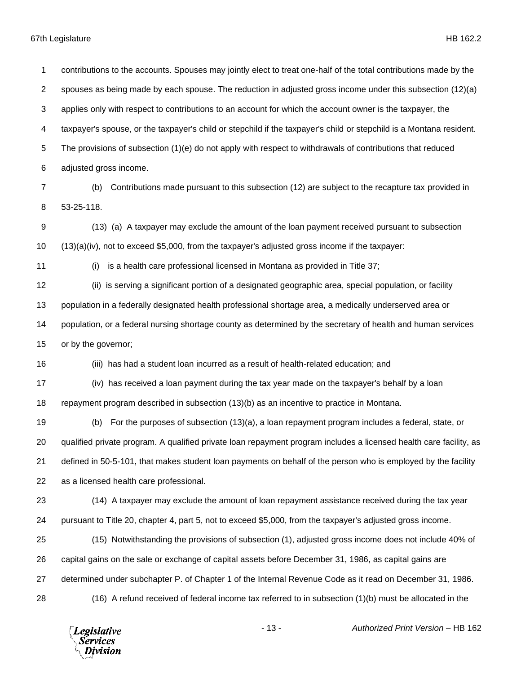contributions to the accounts. Spouses may jointly elect to treat one-half of the total contributions made by the spouses as being made by each spouse. The reduction in adjusted gross income under this subsection (12)(a) applies only with respect to contributions to an account for which the account owner is the taxpayer, the taxpayer's spouse, or the taxpayer's child or stepchild if the taxpayer's child or stepchild is a Montana resident. The provisions of subsection (1)(e) do not apply with respect to withdrawals of contributions that reduced adjusted gross income. (b) Contributions made pursuant to this subsection (12) are subject to the recapture tax provided in 53-25-118. (13) (a) A taxpayer may exclude the amount of the loan payment received pursuant to subsection (13)(a)(iv), not to exceed \$5,000, from the taxpayer's adjusted gross income if the taxpayer: (i) is a health care professional licensed in Montana as provided in Title 37; (ii) is serving a significant portion of a designated geographic area, special population, or facility population in a federally designated health professional shortage area, a medically underserved area or population, or a federal nursing shortage county as determined by the secretary of health and human services or by the governor; (iii) has had a student loan incurred as a result of health-related education; and (iv) has received a loan payment during the tax year made on the taxpayer's behalf by a loan repayment program described in subsection (13)(b) as an incentive to practice in Montana. (b) For the purposes of subsection (13)(a), a loan repayment program includes a federal, state, or qualified private program. A qualified private loan repayment program includes a licensed health care facility, as defined in 50-5-101, that makes student loan payments on behalf of the person who is employed by the facility as a licensed health care professional. (14) A taxpayer may exclude the amount of loan repayment assistance received during the tax year pursuant to Title 20, chapter 4, part 5, not to exceed \$5,000, from the taxpayer's adjusted gross income. (15) Notwithstanding the provisions of subsection (1), adjusted gross income does not include 40% of capital gains on the sale or exchange of capital assets before December 31, 1986, as capital gains are determined under subchapter P. of Chapter 1 of the Internal Revenue Code as it read on December 31, 1986. (16) A refund received of federal income tax referred to in subsection (1)(b) must be allocated in the